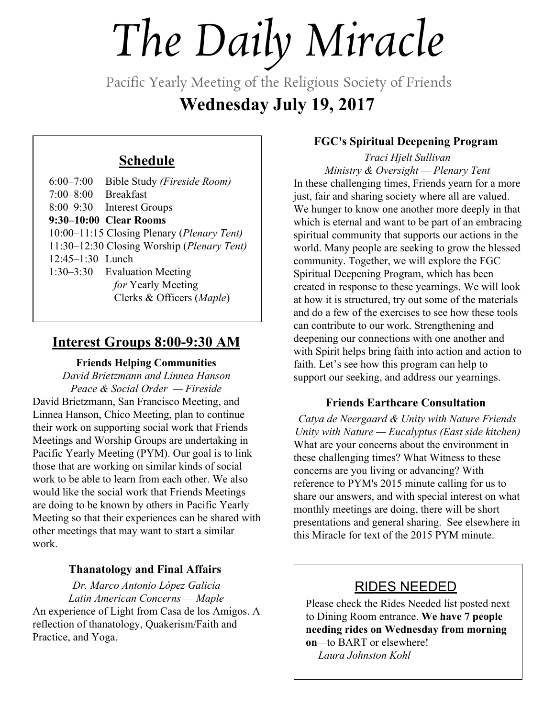# *The Daily Miracle*

Pacific Yearly Meeting of the Religious Society of Friends **Wednesday July 19, 2017**

# **Schedule**

6:00–7:00 Bible Study *(Fireside Room)* 7:00–8:00 Breakfast 8:00–9:30 Interest Groups **9:30–10:00 Clear Rooms** 10:00–11:15 Closing Plenary (*Plenary Tent)* 11:30–12:30 Closing Worship (*Plenary Tent)* 12:45–1:30 Lunch 1:30–3:30 Evaluation Meeting *for* Yearly Meeting Clerks & Officers (*Maple*)

# **Interest Groups 8:00-9:30 AM**

## **Friends Helping Communities**

*David Brietzmann and Linnea Hanson Peace & Social Order — Fireside* David Brietzmann, San Francisco Meeting, and Linnea Hanson, Chico Meeting, plan to continue their work on supporting social work that Friends Meetings and Worship Groups are undertaking in Pacific Yearly Meeting (PYM). Our goal is to link those that are working on similar kinds of social work to be able to learn from each other. We also would like the social work that Friends Meetings are doing to be known by others in Pacific Yearly Meeting so that their experiences can be shared with other meetings that may want to start a similar work.

# **Thanatology and Final Affairs**

*Dr. Marco Antonio López Galicia Latin American Concerns — Maple* An experience of Light from Casa de los Amigos. A reflection of thanatology, Quakerism/Faith and Practice, and Yoga.

# **FGC's Spiritual Deepening Program**

*Traci Hjelt Sullivan Ministry & Oversight — Plenary Tent* In these challenging times, Friends yearn for a more just, fair and sharing society where all are valued. We hunger to know one another more deeply in that which is eternal and want to be part of an embracing spiritual community that supports our actions in the world. Many people are seeking to grow the blessed community. Together, we will explore the FGC Spiritual Deepening Program, which has been created in response to these yearnings. We will look at how it is structured, try out some of the materials and do a few of the exercises to see how these tools can contribute to our work. Strengthening and deepening our connections with one another and with Spirit helps bring faith into action and action to faith. Let's see how this program can help to support our seeking, and address our yearnings.

## **Friends Earthcare Consultation**

*Catya de Neergaard & Unity with Nature Friends Unity with Nature — Eucalyptus (East side kitchen)* What are your concerns about the environment in these challenging times? What Witness to these concerns are you living or advancing? With reference to PYM's 2015 minute calling for us to share our answers, and with special interest on what monthly meetings are doing, there will be short presentations and general sharing. See elsewhere in this Miracle for text of the 2015 PYM minute.

# RIDES NEEDED

Please check the Rides Needed list posted next to Dining Room entrance. **We have 7 people needing rides on Wednesday from morning on***—*to BART or elsewhere! *— Laura Johnston Kohl*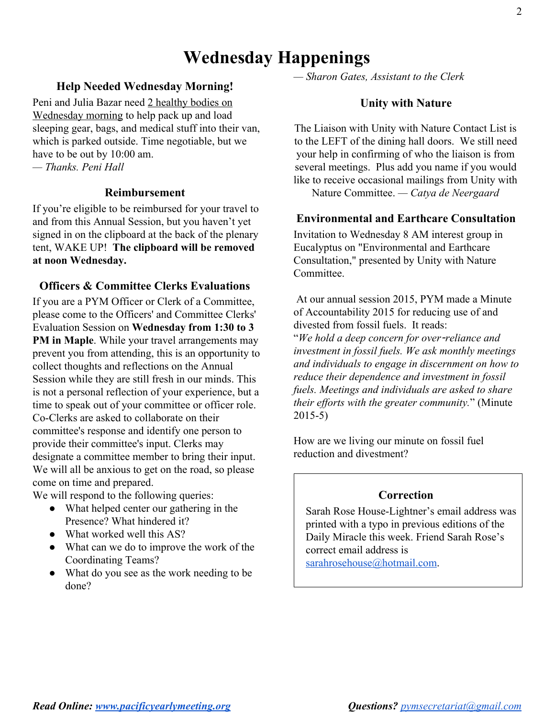# **Wednesday Happenings**

#### **Help Needed Wednesday Morning!**

Peni and Julia Bazar need 2 healthy bodies on Wednesday morning to help pack up and load sleeping gear, bags, and medical stuff into their van, which is parked outside. Time negotiable, but we have to be out by 10:00 am. *— Thanks. Peni Hall*

#### **Reimbursement**

If you're eligible to be reimbursed for your travel to and from this Annual Session, but you haven't yet signed in on the clipboard at the back of the plenary tent, WAKE UP! **The clipboard will be removed at noon Wednesday.**

#### **Officers & Committee Clerks Evaluations**

If you are a PYM Officer or Clerk of a Committee, please come to the Officers' and Committee Clerks' Evaluation Session on **Wednesday from 1:30 to 3 PM in Maple**. While your travel arrangements may prevent you from attending, this is an opportunity to collect thoughts and reflections on the Annual Session while they are still fresh in our minds. This is not a personal reflection of your experience, but a time to speak out of your committee or officer role. Co-Clerks are asked to collaborate on their committee's response and identify one person to provide their committee's input. Clerks may designate a committee member to bring their input. We will all be anxious to get on the road, so please come on time and prepared.

We will respond to the following queries:

- What helped center our gathering in the Presence? What hindered it?
- What worked well this AS?
- What can we do to improve the work of the Coordinating Teams?
- What do you see as the work needing to be done?

*— Sharon Gates, Assistant to the Clerk*

#### **Unity with Nature**

The Liaison with Unity with Nature Contact List is to the LEFT of the dining hall doors. We still need your help in confirming of who the liaison is from several meetings. Plus add you name if you would like to receive occasional mailings from Unity with Nature Committee. *— Catya de Neergaard*

#### **Environmental and Earthcare Consultation**

Invitation to Wednesday 8 AM interest group in Eucalyptus on "Environmental and Earthcare Consultation," presented by Unity with Nature **Committee** 

 At our annual session 2015, PYM made a Minute of Accountability 2015 for reducing use of and divested from fossil fuels. It reads:

"*We hold a deep concern for over*-*reliance and investment in fossil fuels. We ask monthly meetings and individuals to engage in discernment on how to reduce their dependence and investment in fossil fuels. Meetings and individuals are asked to share their efforts with the greater community.*" (Minute 2015-5)

How are we living our minute on fossil fuel reduction and divestment?

#### **Correction**

Sarah Rose House-Lightner's email address was printed with a typo in previous editions of the Daily Miracle this week. Friend Sarah Rose's correct email address is

[sarahrosehouse@hotmail.com](mailto:sarahrosehouse@hotmail.com).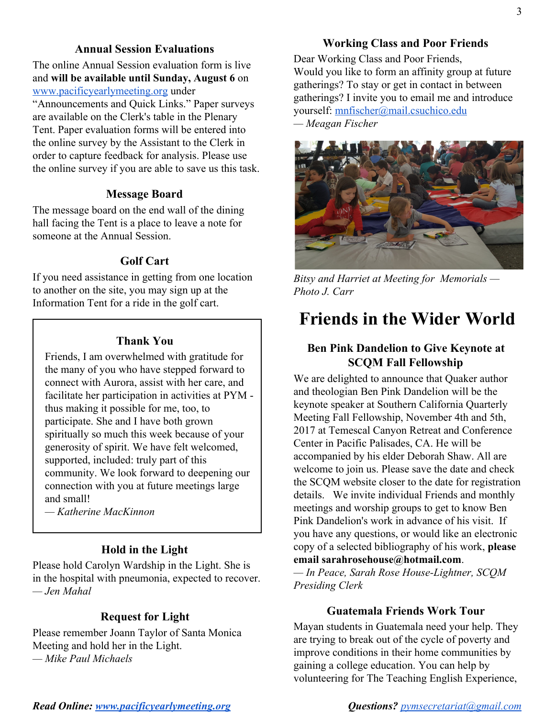#### **Annual Session Evaluations**

The online Annual Session evaluation form is live and **will be available until Sunday, August 6** on [www.pacificyearlymeeting.org](http://www.pacificyearlymeeting.org/) under "Announcements and Quick Links." Paper surveys

are available on the Clerk's table in the Plenary Tent. Paper evaluation forms will be entered into the online survey by the Assistant to the Clerk in order to capture feedback for analysis. Please use the online survey if you are able to save us this task.

#### **Message Board**

The message board on the end wall of the dining hall facing the Tent is a place to leave a note for someone at the Annual Session.

#### **Golf Cart**

If you need assistance in getting from one location to another on the site, you may sign up at the Information Tent for a ride in the golf cart.

#### **Thank You**

Friends, I am overwhelmed with gratitude for the many of you who have stepped forward to connect with Aurora, assist with her care, and facilitate her participation in activities at PYM thus making it possible for me, too, to participate. She and I have both grown spiritually so much this week because of your generosity of spirit. We have felt welcomed, supported, included: truly part of this community. We look forward to deepening our connection with you at future meetings large and small!

*— Katherine MacKinnon*

#### **Hold in the Light**

Please hold Carolyn Wardship in the Light. She is in the hospital with pneumonia, expected to recover. *— Jen Mahal*

#### **Request for Light**

Please remember Joann Taylor of Santa Monica Meeting and hold her in the Light. *— Mike Paul Michaels*

#### **Working Class and Poor Friends**

Dear Working Class and Poor Friends, Would you like to form an affinity group at future gatherings? To stay or get in contact in between gatherings? I invite you to email me and introduce yourself: [mnfischer@mail.csuchico.edu](mailto:mnfischer@mail.csuchico.edu) *— Meagan Fischer*



*Bitsy and Harriet at Meeting for Memorials — Photo J. Carr*

# **Friends in the Wider World**

#### **Ben Pink Dandelion to Give Keynote at SCQM Fall Fellowship**

We are delighted to announce that Quaker author and theologian Ben Pink Dandelion will be the keynote speaker at Southern California Quarterly Meeting Fall Fellowship, November 4th and 5th, 2017 at Temescal Canyon Retreat and Conference Center in Pacific Palisades, CA. He will be accompanied by his elder Deborah Shaw. All are welcome to join us. Please save the date and check the SCQM website closer to the date for registration details. We invite individual Friends and monthly meetings and worship groups to get to know Ben Pink Dandelion's work in advance of his visit. If you have any questions, or would like an electronic copy of a selected bibliography of his work, **please email sarahrosehouse@hotmail.com**.

*— In Peace, Sarah Rose House-Lightner, SCQM Presiding Clerk*

#### **Guatemala Friends Work Tour**

Mayan students in Guatemala need your help. They are trying to break out of the cycle of poverty and improve conditions in their home communities by gaining a college education. You can help by volunteering for The Teaching English Experience,